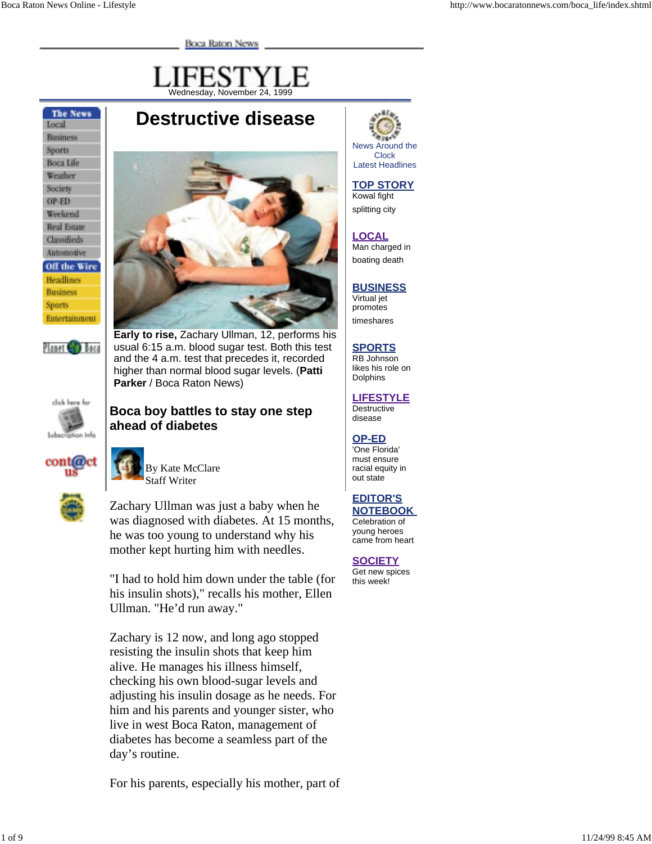**Boca Raton News** 



**Destructive disease**

**The News** Local **Business** Sports **Boca Life** Weather Society OP-ED Weekend **Real Estate** Classifieds Automotive Off the Wire Headlines **Business** Sports Entertainment



**Early to rise,** Zachary Ullman, 12, performs his usual 6:15 a.m. blood sugar test. Both this test and the 4 a.m. test that precedes it, recorded higher than normal blood sugar levels. (**Patti Parker** / Boca Raton News)

**Boca boy battles to stay one step**



Planet **Gra** Bora



By Kate McClare Staff Writer

**ahead of diabetes**



Zachary Ullman was just a baby when he was diagnosed with diabetes. At 15 months, he was too young to understand why his mother kept hurting him with needles.

"I had to hold him down under the table (for his insulin shots)," recalls his mother, Ellen Ullman. "He'd run away."

Zachary is 12 now, and long ago stopped resisting the insulin shots that keep him alive. He manages his illness himself, checking his own blood-sugar levels and adjusting his insulin dosage as he needs. For him and his parents and younger sister, who live in west Boca Raton, management of diabetes has become a seamless part of the day's routine.

For his parents, especially his mother, part of



## **TOP STORY**

Kowal fight splitting city

#### **LOCAL**

Man charged in boating death

## **BUSINESS**

Virtual jet promotes timeshares

## **SPORTS**

RB Johnson likes his role on **Dolphins** 

#### **LIFESTYLE**

**Destructive** disease

#### **OP-ED**

'One Florida' must ensure racial equity in out state

# **EDITOR'S**

**NOTEBOOK**  Celebration of young heroes came from heart

**SOCIETY** Get new spices this week!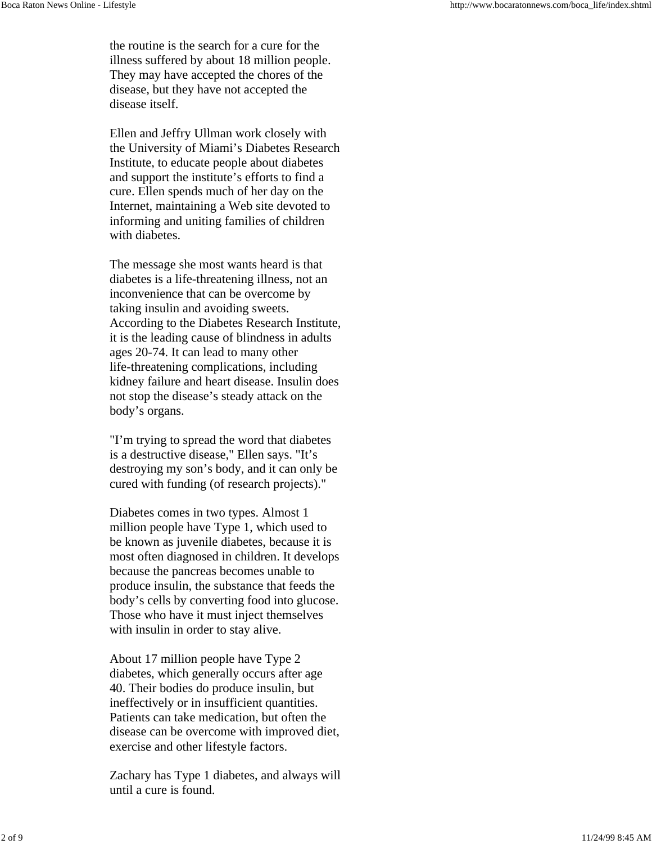the routine is the search for a cure for the illness suffered by about 18 million people. They may have accepted the chores of the disease, but they have not accepted the disease itself.

Ellen and Jeffry Ullman work closely with the University of Miami's Diabetes Research Institute, to educate people about diabetes and support the institute's efforts to find a cure. Ellen spends much of her day on the Internet, maintaining a Web site devoted to informing and uniting families of children with diabetes.

The message she most wants heard is that diabetes is a life-threatening illness, not an inconvenience that can be overcome by taking insulin and avoiding sweets. According to the Diabetes Research Institute, it is the leading cause of blindness in adults ages 20-74. It can lead to many other life-threatening complications, including kidney failure and heart disease. Insulin does not stop the disease's steady attack on the body's organs.

"I'm trying to spread the word that diabetes is a destructive disease," Ellen says. "It's destroying my son's body, and it can only be cured with funding (of research projects)."

Diabetes comes in two types. Almost 1 million people have Type 1, which used to be known as juvenile diabetes, because it is most often diagnosed in children. It develops because the pancreas becomes unable to produce insulin, the substance that feeds the body's cells by converting food into glucose. Those who have it must inject themselves with insulin in order to stay alive.

About 17 million people have Type 2 diabetes, which generally occurs after age 40. Their bodies do produce insulin, but ineffectively or in insufficient quantities. Patients can take medication, but often the disease can be overcome with improved diet, exercise and other lifestyle factors.

Zachary has Type 1 diabetes, and always will until a cure is found.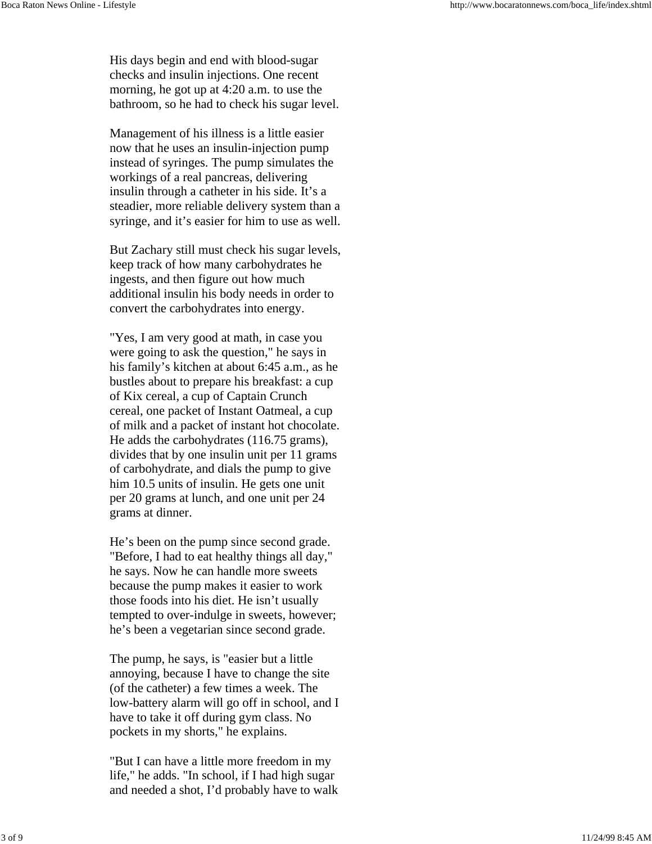His days begin and end with blood-sugar checks and insulin injections. One recent morning, he got up at 4:20 a.m. to use the bathroom, so he had to check his sugar level.

Management of his illness is a little easier now that he uses an insulin-injection pump instead of syringes. The pump simulates the workings of a real pancreas, delivering insulin through a catheter in his side. It's a steadier, more reliable delivery system than a syringe, and it's easier for him to use as well.

But Zachary still must check his sugar levels, keep track of how many carbohydrates he ingests, and then figure out how much additional insulin his body needs in order to convert the carbohydrates into energy.

"Yes, I am very good at math, in case you were going to ask the question," he says in his family's kitchen at about 6:45 a.m., as he bustles about to prepare his breakfast: a cup of Kix cereal, a cup of Captain Crunch cereal, one packet of Instant Oatmeal, a cup of milk and a packet of instant hot chocolate. He adds the carbohydrates (116.75 grams), divides that by one insulin unit per 11 grams of carbohydrate, and dials the pump to give him 10.5 units of insulin. He gets one unit per 20 grams at lunch, and one unit per 24 grams at dinner.

He's been on the pump since second grade. "Before, I had to eat healthy things all day," he says. Now he can handle more sweets because the pump makes it easier to work those foods into his diet. He isn't usually tempted to over-indulge in sweets, however; he's been a vegetarian since second grade.

The pump, he says, is "easier but a little annoying, because I have to change the site (of the catheter) a few times a week. The low-battery alarm will go off in school, and I have to take it off during gym class. No pockets in my shorts," he explains.

"But I can have a little more freedom in my life," he adds. "In school, if I had high sugar and needed a shot, I'd probably have to walk